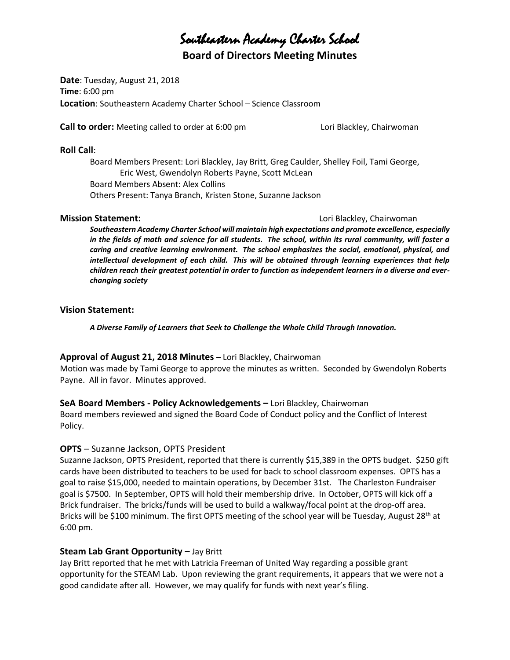# Southeastern Academy Charter School

**Board of Directors Meeting Minutes**

**Date**: Tuesday, August 21, 2018 **Time**: 6:00 pm **Location**: Southeastern Academy Charter School – Science Classroom

**Call to order:** Meeting called to order at 6:00 pm Lori Blackley, Chairwoman

#### **Roll Call**:

Board Members Present: Lori Blackley, Jay Britt, Greg Caulder, Shelley Foil, Tami George, Eric West, Gwendolyn Roberts Payne, Scott McLean Board Members Absent: Alex Collins Others Present: Tanya Branch, Kristen Stone, Suzanne Jackson

#### **Mission Statement: Lori Blackley, Chairwoman**

*Southeastern Academy Charter School will maintain high expectations and promote excellence, especially in the fields of math and science for all students. The school, within its rural community, will foster a caring and creative learning environment. The school emphasizes the social, emotional, physical, and intellectual development of each child. This will be obtained through learning experiences that help children reach their greatest potential in order to function as independent learners in a diverse and everchanging society*

#### **Vision Statement:**

*A Diverse Family of Learners that Seek to Challenge the Whole Child Through Innovation.*

#### **Approval of August 21, 2018 Minutes** – Lori Blackley, Chairwoman

Motion was made by Tami George to approve the minutes as written. Seconded by Gwendolyn Roberts Payne. All in favor. Minutes approved.

#### **SeA Board Members - Policy Acknowledgements –** Lori Blackley, Chairwoman

Board members reviewed and signed the Board Code of Conduct policy and the Conflict of Interest Policy.

#### **OPTS** – Suzanne Jackson, OPTS President

Suzanne Jackson, OPTS President, reported that there is currently \$15,389 in the OPTS budget. \$250 gift cards have been distributed to teachers to be used for back to school classroom expenses. OPTS has a goal to raise \$15,000, needed to maintain operations, by December 31st. The Charleston Fundraiser goal is \$7500. In September, OPTS will hold their membership drive. In October, OPTS will kick off a Brick fundraiser. The bricks/funds will be used to build a walkway/focal point at the drop-off area. Bricks will be \$100 minimum. The first OPTS meeting of the school year will be Tuesday, August 28<sup>th</sup> at 6:00 pm.

#### **Steam Lab Grant Opportunity - Jay Britt**

Jay Britt reported that he met with Latricia Freeman of United Way regarding a possible grant opportunity for the STEAM Lab. Upon reviewing the grant requirements, it appears that we were not a good candidate after all. However, we may qualify for funds with next year's filing.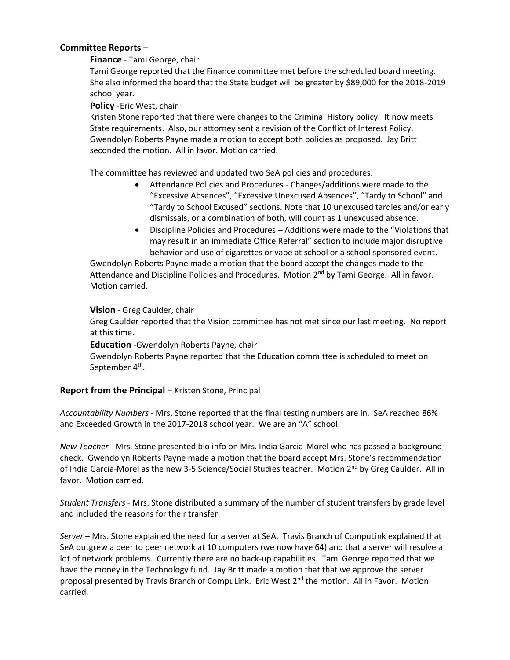#### **Committee Reports –**

#### **Finance** - Tami George, chair

Tami George reported that the Finance committee met before the scheduled board meeting. She also informed the board that the State budget will be greater by \$89,000 for the 2018-2019 school year.

#### **Policy** -Eric West, chair

Kristen Stone reported that there were changes to the Criminal History policy. It now meets State requirements. Also, our attorney sent a revision of the Conflict of Interest Policy. Gwendolyn Roberts Payne made a motion to accept both policies as proposed. Jay Britt seconded the motion. All in favor. Motion carried.

The committee has reviewed and updated two SeA policies and procedures.

- Attendance Policies and Procedures Changes/additions were made to the "Excessive Absences", "Excessive Unexcused Absences", "Tardy to School" and "Tardy to School Excused" sections. Note that 10 unexcused tardies and/or early dismissals, or a combination of both, will count as 1 unexcused absence.
- Discipline Policies and Procedures Additions were made to the "Violations that may result in an immediate Office Referral" section to include major disruptive behavior and use of cigarettes or vape at school or a school sponsored event.

Gwendolyn Roberts Payne made a motion that the board accept the changes made to the Attendance and Discipline Policies and Procedures. Motion 2<sup>nd</sup> by Tami George. All in favor. Motion carried.

#### **Vision** - Greg Caulder, chair

Greg Caulder reported that the Vision committee has not met since our last meeting. No report at this time.

#### **Education** -Gwendolyn Roberts Payne, chair

Gwendolyn Roberts Payne reported that the Education committee is scheduled to meet on September 4<sup>th</sup>.

#### **Report from the Principal** – Kristen Stone, Principal

*Accountability Numbers* - Mrs. Stone reported that the final testing numbers are in. SeA reached 86% and Exceeded Growth in the 2017-2018 school year. We are an "A" school.

*New Teacher* - Mrs. Stone presented bio info on Mrs. India Garcia-Morel who has passed a background check. Gwendolyn Roberts Payne made a motion that the board accept Mrs. Stone's recommendation of India Garcia-Morel as the new 3-5 Science/Social Studies teacher. Motion 2nd by Greg Caulder. All in favor. Motion carried.

*Student Transfers* - Mrs. Stone distributed a summary of the number of student transfers by grade level and included the reasons for their transfer.

*Server* – Mrs. Stone explained the need for a server at SeA. Travis Branch of CompuLink explained that SeA outgrew a peer to peer network at 10 computers (we now have 64) and that a server will resolve a lot of network problems. Currently there are no back-up capabilities. Tami George reported that we have the money in the Technology fund. Jay Britt made a motion that that we approve the server proposal presented by Travis Branch of CompuLink. Eric West 2<sup>nd</sup> the motion. All in Favor. Motion carried.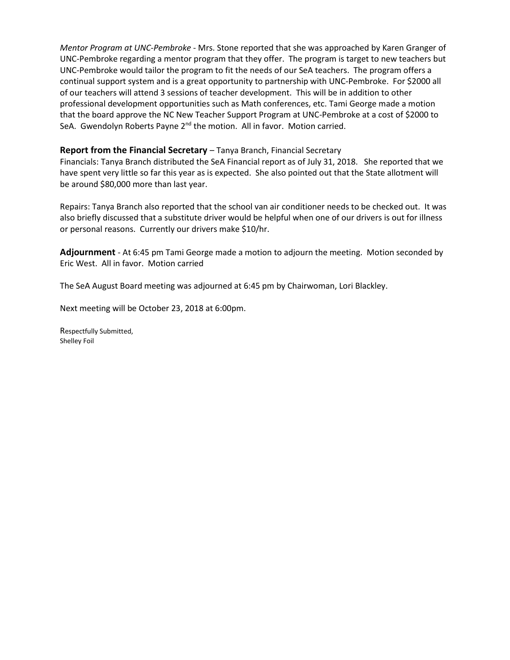*Mentor Program at UNC-Pembroke* - Mrs. Stone reported that she was approached by Karen Granger of UNC-Pembroke regarding a mentor program that they offer. The program is target to new teachers but UNC-Pembroke would tailor the program to fit the needs of our SeA teachers. The program offers a continual support system and is a great opportunity to partnership with UNC-Pembroke. For \$2000 all of our teachers will attend 3 sessions of teacher development. This will be in addition to other professional development opportunities such as Math conferences, etc. Tami George made a motion that the board approve the NC New Teacher Support Program at UNC-Pembroke at a cost of \$2000 to SeA. Gwendolyn Roberts Payne 2<sup>nd</sup> the motion. All in favor. Motion carried.

#### **Report from the Financial Secretary** – Tanya Branch, Financial Secretary

Financials: Tanya Branch distributed the SeA Financial report as of July 31, 2018. She reported that we have spent very little so far this year as is expected. She also pointed out that the State allotment will be around \$80,000 more than last year.

Repairs: Tanya Branch also reported that the school van air conditioner needs to be checked out. It was also briefly discussed that a substitute driver would be helpful when one of our drivers is out for illness or personal reasons. Currently our drivers make \$10/hr.

**Adjournment** - At 6:45 pm Tami George made a motion to adjourn the meeting. Motion seconded by Eric West. All in favor. Motion carried

The SeA August Board meeting was adjourned at 6:45 pm by Chairwoman, Lori Blackley.

Next meeting will be October 23, 2018 at 6:00pm.

Respectfully Submitted, Shelley Foil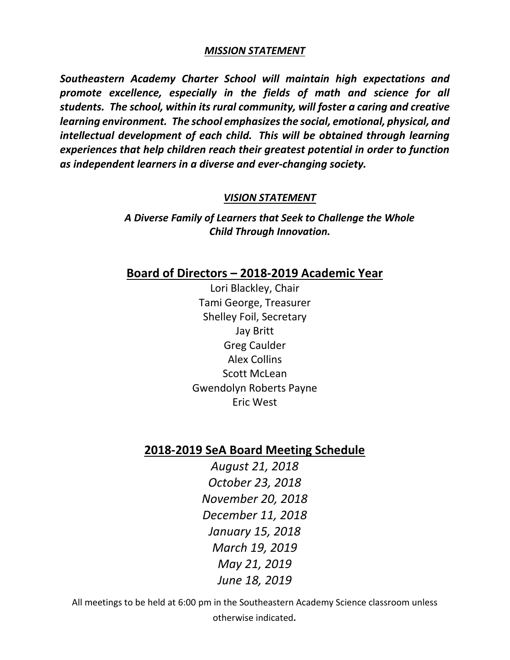#### *MISSION STATEMENT*

*Southeastern Academy Charter School will maintain high expectations and promote excellence, especially in the fields of math and science for all students. The school, within its rural community, will foster a caring and creative learning environment. The school emphasizes the social, emotional, physical, and intellectual development of each child. This will be obtained through learning experiences that help children reach their greatest potential in order to function as independent learners in a diverse and ever-changing society.*

#### *VISION STATEMENT*

*A Diverse Family of Learners that Seek to Challenge the Whole Child Through Innovation.*

#### **Board of Directors – 2018-2019 Academic Year**

Lori Blackley, Chair Tami George, Treasurer Shelley Foil, Secretary Jay Britt Greg Caulder Alex Collins Scott McLean Gwendolyn Roberts Payne Eric West

### **2018-2019 SeA Board Meeting Schedule**

*August 21, 2018 October 23, 2018 November 20, 2018 December 11, 2018 January 15, 2018 March 19, 2019 May 21, 2019 June 18, 2019*

All meetings to be held at 6:00 pm in the Southeastern Academy Science classroom unless otherwise indicated*.*